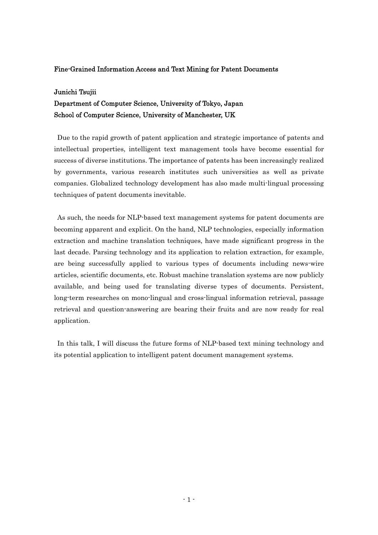## Fine-Grained Information Access and Text Mining for Patent Documents

### Junichi Tsujii

# Department of Computer Science, University of Tokyo, Japan School of Computer Science, University of Manchester, UK

 Due to the rapid growth of patent application and strategic importance of patents and intellectual properties, intelligent text management tools have become essential for success of diverse institutions. The importance of patents has been increasingly realized by governments, various research institutes such universities as well as private companies. Globalized technology development has also made multi-lingual processing techniques of patent documents inevitable.

 As such, the needs for NLP-based text management systems for patent documents are becoming apparent and explicit. On the hand, NLP technologies, especially information extraction and machine translation techniques, have made significant progress in the last decade. Parsing technology and its application to relation extraction, for example, are being successfully applied to various types of documents including news-wire articles, scientific documents, etc. Robust machine translation systems are now publicly available, and being used for translating diverse types of documents. Persistent, long-term researches on mono-lingual and cross-lingual information retrieval, passage retrieval and question-answering are bearing their fruits and are now ready for real application.

 In this talk, I will discuss the future forms of NLP-based text mining technology and its potential application to intelligent patent document management systems.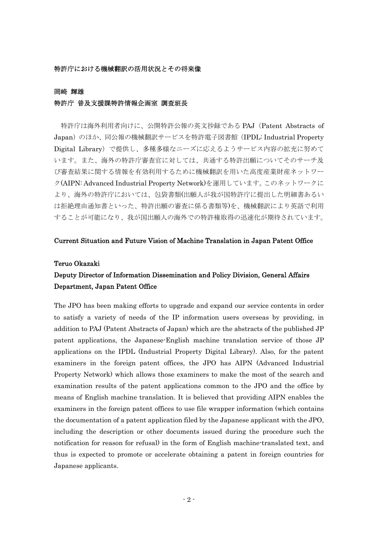### 特許庁における機械翻訳の活用状況とその将来像

#### 岡崎 輝雄

### 特許庁 普及支援課特許情報企画室 調査班長

 特許庁は海外利用者向けに、公開特許公報の英文抄録である PAJ(Patent Abstracts of Japan)のほか、同公報の機械翻訳サービスを特許電子図書館(IPDL: Industrial Property Digital Library)で提供し、多種多様なニーズに応えるようサービス内容の拡充に努めて います。また、海外の特許庁審査官に対しては、共通する特許出願についてそのサーチ及 び審査結果に関する情報を有効利用するために機械翻訳を用いた高度産業財産ネットワー ク(AIPN: Advanced Industrial Property Network)を運用しています。このネットワークに より、海外の特許庁においては、包袋書類(出願人が我が国特許庁に提出した明細書あるい は拒絶理由通知書といった、特許出願の審査に係る書類等)を、機械翻訳により英語で利用 することが可能になり、我が国出願人の海外での特許権取得の迅速化が期待されています。

### Current Situation and Future Vision of Machine Translation in Japan Patent Office

### Teruo Okazaki

# Deputy Director of Information Dissemination and Policy Division, General Affairs Department, Japan Patent Office

The JPO has been making efforts to upgrade and expand our service contents in order to satisfy a variety of needs of the IP information users overseas by providing, in addition to PAJ (Patent Abstracts of Japan) which are the abstracts of the published JP patent applications, the Japanese-English machine translation service of those JP applications on the IPDL (Industrial Property Digital Library). Also, for the patent examiners in the foreign patent offices, the JPO has AIPN (Advanced Industrial Property Network) which allows those examiners to make the most of the search and examination results of the patent applications common to the JPO and the office by means of English machine translation. It is believed that providing AIPN enables the examiners in the foreign patent offices to use file wrapper information (which contains the documentation of a patent application filed by the Japanese applicant with the JPO, including the description or other documents issued during the procedure such the notification for reason for refusal) in the form of English machine-translated text, and thus is expected to promote or accelerate obtaining a patent in foreign countries for Japanese applicants.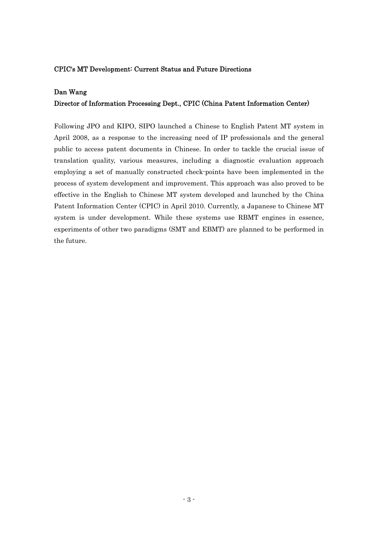## CPIC's MT Development: Current Status and Future Directions

## Dan Wang

## Director of Information Processing Dept., CPIC (China Patent Information Center)

Following JPO and KIPO, SIPO launched a Chinese to English Patent MT system in April 2008, as a response to the increasing need of IP professionals and the general public to access patent documents in Chinese. In order to tackle the crucial issue of translation quality, various measures, including a diagnostic evaluation approach employing a set of manually constructed check-points have been implemented in the process of system development and improvement. This approach was also proved to be effective in the English to Chinese MT system developed and launched by the China Patent Information Center (CPIC) in April 2010. Currently, a Japanese to Chinese MT system is under development. While these systems use RBMT engines in essence, experiments of other two paradigms (SMT and EBMT) are planned to be performed in the future.